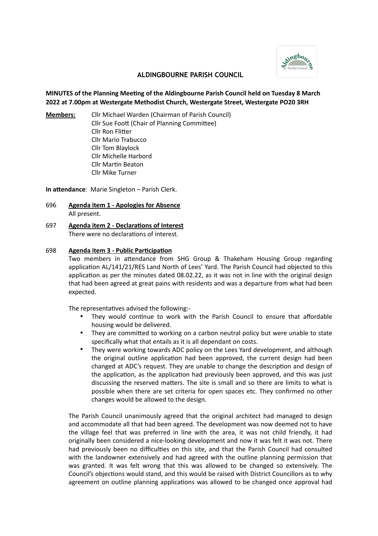

## **ALDINGBOURNE PARISH COUNCIL**

## **MINUTES of the Planning Meeting of the Aldingbourne Parish Council held on Tuesday 8 March 2022 at 7.00pm at Westergate Methodist Church, Westergate Street, Westergate PO20 3RH**

**Members:** Cllr Michael Warden (Chairman of Parish Council) Cllr Sue Foott (Chair of Planning Committee) Cllr Ron Flitter Cllr Mario Trabucco Cllr Tom Blaylock Cllr Michelle Harbord

**In attendance**: Marie Singleton – Parish Clerk.

Cllr Martin Beaton Cllr Mike Turner

- 696 **Agenda item 1 Apologies for Absence** All present.
- 697 **Agenda item 2 Declarations of Interest** There were no declarations of interest.

#### 698 **Agenda item 3 - Public Participation**

Two members in attendance from SHG Group & Thakeham Housing Group regarding application AL/141/21/RES Land North of Lees' Yard. The Parish Council had objected to this application as per the minutes dated 08.02.22, as it was not in line with the original design that had been agreed at great pains with residents and was a departure from what had been expected.

The representatives advised the following:-

- They would continue to work with the Parish Council to ensure that affordable housing would be delivered.
- They are committed to working on a carbon neutral policy but were unable to state specifically what that entails as it is all dependant on costs.
- They were working towards ADC policy on the Lees Yard development, and although the original outline application had been approved, the current design had been changed at ADC's request. They are unable to change the description and design of the application, as the application had previously been approved, and this was just discussing the reserved matters. The site is small and so there are limits to what is possible when there are set criteria for open spaces etc. They confirmed no other changes would be allowed to the design.

The Parish Council unanimously agreed that the original architect had managed to design and accommodate all that had been agreed. The development was now deemed not to have the village feel that was preferred in line with the area, it was not child friendly, it had originally been considered a nice-looking development and now it was felt it was not. There had previously been no difficulties on this site, and that the Parish Council had consulted with the landowner extensively and had agreed with the outline planning permission that was granted. It was felt wrong that this was allowed to be changed so extensively. The Council's objections would stand, and this would be raised with District Councillors as to why agreement on outline planning applications was allowed to be changed once approval had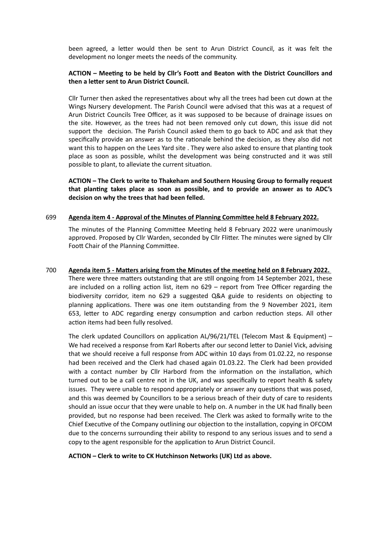been agreed, a letter would then be sent to Arun District Council, as it was felt the development no longer meets the needs of the community.

## **ACTION – Meeting to be held by Cllr's Foott and Beaton with the District Councillors and then a letter sent to Arun District Council.**

Cllr Turner then asked the representatives about why all the trees had been cut down at the Wings Nursery development. The Parish Council were advised that this was at a request of Arun District Councils Tree Officer, as it was supposed to be because of drainage issues on the site. However, as the trees had not been removed only cut down, this issue did not support the decision. The Parish Council asked them to go back to ADC and ask that they specifically provide an answer as to the rationale behind the decision, as they also did not want this to happen on the Lees Yard site . They were also asked to ensure that planting took place as soon as possible, whilst the development was being constructed and it was still possible to plant, to alleviate the current situation.

**ACTION – The Clerk to write to Thakeham and Southern Housing Group to formally request that planting takes place as soon as possible, and to provide an answer as to ADC's decision on why the trees that had been felled.**

#### 699 **Agenda item 4 - Approval of the Minutes of Planning Committee held 8 February 2022.**

The minutes of the Planning Committee Meeting held 8 February 2022 were unanimously approved. Proposed by Cllr Warden, seconded by Cllr Flitter. The minutes were signed by Cllr Foott Chair of the Planning Committee.

700 **Agenda item 5 - Matters arising from the Minutes of the meeting held on 8 February 2022.**  There were three matters outstanding that are still ongoing from 14 September 2021, these are included on a rolling action list, item no 629 – report from Tree Officer regarding the biodiversity corridor, item no 629 a suggested Q&A guide to residents on objecting to planning applications. There was one item outstanding from the 9 November 2021, item 653, letter to ADC regarding energy consumption and carbon reduction steps. All other action items had been fully resolved.

The clerk updated Councillors on application AL/96/21/TEL (Telecom Mast & Equipment) – We had received a response from Karl Roberts after our second letter to Daniel Vick, advising that we should receive a full response from ADC within 10 days from 01.02.22, no response had been received and the Clerk had chased again 01.03.22. The Clerk had been provided with a contact number by Cllr Harbord from the information on the installation, which turned out to be a call centre not in the UK, and was specifically to report health & safety issues. They were unable to respond appropriately or answer any questions that was posed, and this was deemed by Councillors to be a serious breach of their duty of care to residents should an issue occur that they were unable to help on. A number in the UK had finally been provided, but no response had been received. The Clerk was asked to formally write to the Chief Executive of the Company outlining our objection to the installation, copying in OFCOM due to the concerns surrounding their ability to respond to any serious issues and to send a copy to the agent responsible for the application to Arun District Council.

## **ACTION – Clerk to write to CK Hutchinson Networks (UK) Ltd as above.**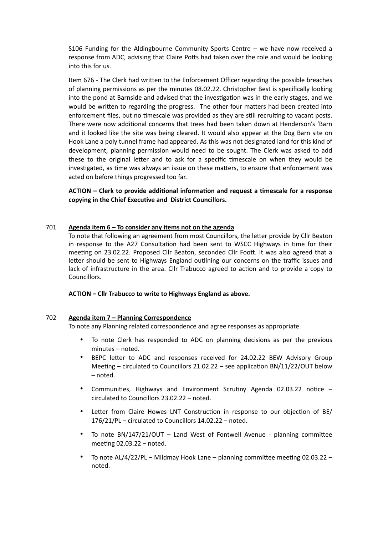S106 Funding for the Aldingbourne Community Sports Centre – we have now received a response from ADC, advising that Claire Potts had taken over the role and would be looking into this for us.

Item 676 - The Clerk had written to the Enforcement Officer regarding the possible breaches of planning permissions as per the minutes 08.02.22. Christopher Best is specifically looking into the pond at Barnside and advised that the investigation was in the early stages, and we would be written to regarding the progress. The other four matters had been created into enforcement files, but no timescale was provided as they are still recruiting to vacant posts. There were now additional concerns that trees had been taken down at Henderson's 'Barn and it looked like the site was being cleared. It would also appear at the Dog Barn site on Hook Lane a poly tunnel frame had appeared. As this was not designated land for this kind of development, planning permission would need to be sought. The Clerk was asked to add these to the original letter and to ask for a specific timescale on when they would be investigated, as time was always an issue on these matters, to ensure that enforcement was acted on before things progressed too far.

**ACTION – Clerk to provide additional information and request a timescale for a response copying in the Chief Executive and District Councillors.**

## 701 **Agenda item 6 – To consider any items not on the agenda**

To note that following an agreement from most Councillors, the letter provide by Cllr Beaton in response to the A27 Consultation had been sent to WSCC Highways in time for their meeting on 23.02.22. Proposed Cllr Beaton, seconded Cllr Foott. It was also agreed that a letter should be sent to Highways England outlining our concerns on the traffic issues and lack of infrastructure in the area. Cllr Trabucco agreed to action and to provide a copy to Councillors.

## **ACTION – Cllr Trabucco to write to Highways England as above.**

## 702 **Agenda item 7 – Planning Correspondence**

To note any Planning related correspondence and agree responses as appropriate.

- To note Clerk has responded to ADC on planning decisions as per the previous minutes – noted.
- BEPC letter to ADC and responses received for 24.02.22 BEW Advisory Group Meeting – circulated to Councillors 21.02.22 – see application BN/11/22/OUT below – noted.
- Communities, Highways and Environment Scrutiny Agenda 02.03.22 notice circulated to Councillors 23.02.22 – noted.
- Letter from Claire Howes LNT Construction in response to our objection of BE/ 176/21/PL – circulated to Councillors 14.02.22 – noted.
- To note BN/147/21/OUT Land West of Fontwell Avenue planning committee meeting 02.03.22 – noted.
- To note AL/4/22/PL Mildmay Hook Lane planning committee meeting 02.03.22 noted.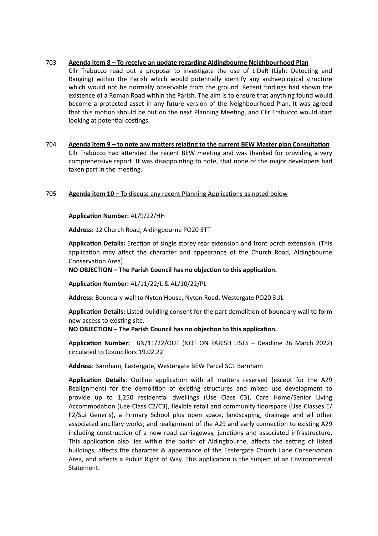## 703 **Agenda item 8 – To receive an update regarding Aldingbourne Neighbourhood Plan**

Cllr Trabucco read out a proposal to investigate the use of LiDaR (Light Detecting and Ranging) within the Parish which would potentially identify any archaeological structure which would not be normally observable from the ground. Recent findings had shown the existence of a Roman Road within the Parish. The aim is to ensure that anything found would become a protected asset in any future version of the Neighbourhood Plan. It was agreed that this motion should be put on the next Planning Meeting, and Cllr Trabucco would start looking at potential costings.

## 704 **Agenda item 9 – to note any matters relating to the current BEW Master plan Consultation** Cllr Trabucco had attended the recent BEW meeting and was thanked for providing a very comprehensive report. It was disappointing to note, that none of the major developers had taken part in the meeting.

# 705 **Agenda item 10 –** To discuss any recent Planning Applications as noted below

## **Application Number:** AL/9/22/HH

**Address:** 12 Church Road, Aldingbourne PO20 3TT

**Application Details:** Erection of single storey rear extension and front porch extension. (This application may affect the character and appearance of the Church Road, Aldingbourne Conservation Area).

**NO OBJECTION – The Parish Council has no objection to this application.** 

**Application Number:** AL/11/22/L & AL/10/22/PL

**Address:** Boundary wall to Nyton House, Nyton Road, Westergate PO20 3UL

**Application Details:** Listed building consent for the part demolition of boundary wall to form new access to existing site.

## **NO OBJECTION – The Parish Council has no objection to this application.**

**Application Number:** BN/11/22/OUT (NOT ON PARISH LISTS – Deadline 26 March 2022) circulated to Councillors 19.02.22

**Address**: Barnham, Eastergate, Westergate BEW Parcel SC1 Barnham

**Application Details**: Outline application with all matters reserved (except for the A29 Realignment) for the demolition of existing structures and mixed use development to provide up to 1,250 residential dwellings (Use Class C3), Care Home/Senior Living Accommodation (Use Class C2/C3), flexible retail and community floorspace (Use Classes E/ F2/Sui Generis), a Primary School plus open space, landscaping, drainage and all other associated ancillary works; and realignment of the A29 and early connection to existing A29 including construction of a new road carriageway, junctions and associated infrastructure. This application also lies within the parish of Aldingbourne, affects the setting of listed buildings, affects the character & appearance of the Eastergate Church Lane Conservation Area, and affects a Public Right of Way. This application is the subject of an Environmental Statement.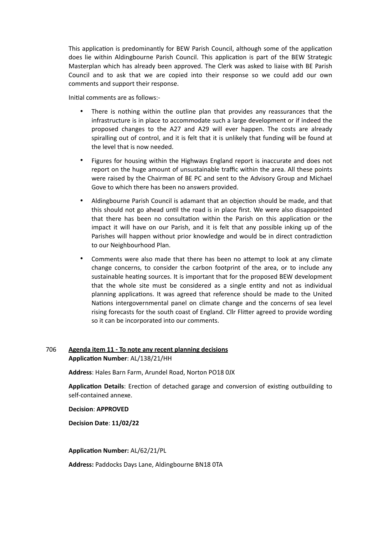This application is predominantly for BEW Parish Council, although some of the application does lie within Aldingbourne Parish Council. This application is part of the BEW Strategic Masterplan which has already been approved. The Clerk was asked to liaise with BE Parish Council and to ask that we are copied into their response so we could add our own comments and support their response.

Initial comments are as follows:-

- There is nothing within the outline plan that provides any reassurances that the infrastructure is in place to accommodate such a large development or if indeed the proposed changes to the A27 and A29 will ever happen. The costs are already spiralling out of control, and it is felt that it is unlikely that funding will be found at the level that is now needed.
- Figures for housing within the Highways England report is inaccurate and does not report on the huge amount of unsustainable traffic within the area. All these points were raised by the Chairman of BE PC and sent to the Advisory Group and Michael Gove to which there has been no answers provided.
- Aldingbourne Parish Council is adamant that an objection should be made, and that this should not go ahead until the road is in place first. We were also disappointed that there has been no consultation within the Parish on this application or the impact it will have on our Parish, and it is felt that any possible inking up of the Parishes will happen without prior knowledge and would be in direct contradiction to our Neighbourhood Plan.
- Comments were also made that there has been no attempt to look at any climate change concerns, to consider the carbon footprint of the area, or to include any sustainable heating sources. It is important that for the proposed BEW development that the whole site must be considered as a single entity and not as individual planning applications. It was agreed that reference should be made to the United Nations intergovernmental panel on climate change and the concerns of sea level rising forecasts for the south coast of England. Cllr Flitter agreed to provide wording so it can be incorporated into our comments.

# 706 **Agenda item 11 - To note any recent planning decisions Application Number**: AL/138/21/HH

**Address**: Hales Barn Farm, Arundel Road, Norton PO18 0JX

**Application Details**: Erection of detached garage and conversion of existing outbuilding to self-contained annexe.

## **Decision**: **APPROVED**

**Decision Date**: **11/02/22**

**Application Number:** AL/62/21/PL

**Address:** Paddocks Days Lane, Aldingbourne BN18 0TA